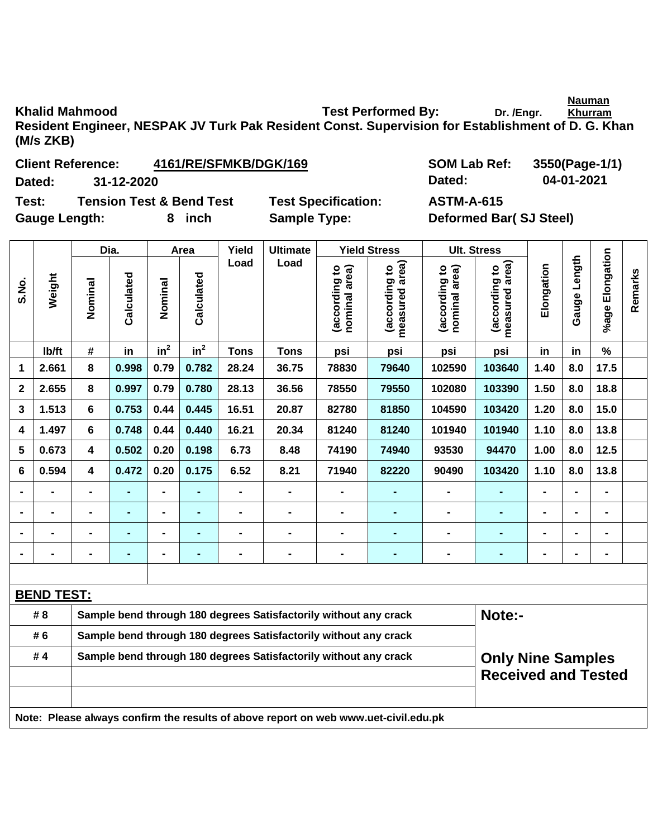**Nauman** 

Khalid Mahmood **Test Performed By:** Dr. /Engr. **Khurram Resident Engineer, NESPAK JV Turk Pak Resident Const. Supervision for Establishment of D. G. Khan (M/s ZKB)** 

| <b>Client Reference:</b> | 4161/RE/SFMKB/DGK/169 |
|--------------------------|-----------------------|
|                          |                       |

**Test: Tension Test & Bend Test Test Specification: ASTM-A-615**  Gauge Length: 8 inch Sample Type: Deformed Bar( SJ Steel)

**SOM Lab Ref: 3550(Page-1/1) Dated: 31-12-2020 Dated: 04-01-2021** 

|                | Weight                                                                              |                                                                  | Dia.           |                | Area                                                             | Yield          | <b>Ultimate</b>                                                  |                | <b>Yield Stress</b>            | <b>Ult. Stress</b>              |                                |                                 |                |                |                 |
|----------------|-------------------------------------------------------------------------------------|------------------------------------------------------------------|----------------|----------------|------------------------------------------------------------------|----------------|------------------------------------------------------------------|----------------|--------------------------------|---------------------------------|--------------------------------|---------------------------------|----------------|----------------|-----------------|
| S.No.          |                                                                                     |                                                                  | Nominal        | Calculated     | Nominal                                                          | Calculated     | Load                                                             | Load           | nominal area)<br>(according to | measured area)<br>(according to | (according to<br>nominal area) | (according to<br>measured area) | Elongation     | Gauge Length   | %age Elongation |
|                | lb/ft                                                                               | #                                                                | in             | $in^2$         | in <sup>2</sup>                                                  | <b>Tons</b>    | <b>Tons</b>                                                      | psi            | psi                            | psi                             | psi                            | in                              | in             | %              |                 |
| $\mathbf 1$    | 2.661                                                                               | 8                                                                | 0.998          | 0.79           | 0.782                                                            | 28.24          | 36.75                                                            | 78830          | 79640                          | 102590                          | 103640                         | 1.40                            | 8.0            | 17.5           |                 |
| $\mathbf{2}$   | 2.655                                                                               | 8                                                                | 0.997          | 0.79           | 0.780                                                            | 28.13          | 36.56                                                            | 78550          | 79550                          | 102080                          | 103390                         | 1.50                            | 8.0            | 18.8           |                 |
| 3              | 1.513                                                                               | 6                                                                | 0.753          | 0.44           | 0.445                                                            | 16.51          | 20.87                                                            | 82780          | 81850                          | 104590                          | 103420                         | 1.20                            | 8.0            | 15.0           |                 |
| 4              | 1.497                                                                               | 6                                                                | 0.748          | 0.44           | 0.440                                                            | 16.21          | 20.34                                                            | 81240          | 81240                          | 101940                          | 101940                         | 1.10                            | 8.0            | 13.8           |                 |
| 5              | 0.673                                                                               | 4                                                                | 0.502          | 0.20           | 0.198                                                            | 6.73           | 8.48                                                             | 74190          | 74940                          | 93530                           | 94470                          | 1.00                            | 8.0            | $12.5$         |                 |
| 6              | 0.594                                                                               | 4                                                                | 0.472          | 0.20           | 0.175                                                            | 6.52           | 8.21                                                             | 71940          | 82220                          | 90490                           | 103420                         | 1.10                            | 8.0            | 13.8           |                 |
|                |                                                                                     |                                                                  |                |                | ÷.                                                               | $\blacksquare$ | $\overline{a}$                                                   |                |                                |                                 | ÷,                             |                                 |                |                |                 |
|                |                                                                                     |                                                                  | $\blacksquare$ | $\blacksquare$ | $\blacksquare$                                                   | $\blacksquare$ | $\qquad \qquad \blacksquare$                                     | $\blacksquare$ | $\blacksquare$                 | $\blacksquare$                  | ٠                              | $\blacksquare$                  | $\blacksquare$ | $\blacksquare$ |                 |
| $\blacksquare$ | $\blacksquare$                                                                      | $\blacksquare$                                                   | $\blacksquare$ | $\blacksquare$ | ٠                                                                | $\blacksquare$ | $\blacksquare$                                                   | $\blacksquare$ | $\blacksquare$                 | $\blacksquare$                  | ۰                              | $\blacksquare$                  | $\blacksquare$ | $\blacksquare$ |                 |
| $\blacksquare$ |                                                                                     |                                                                  | $\blacksquare$ | $\blacksquare$ | $\blacksquare$                                                   | $\blacksquare$ | -                                                                | $\blacksquare$ | $\blacksquare$                 | $\blacksquare$                  | ۰                              | $\blacksquare$                  | $\blacksquare$ | $\blacksquare$ |                 |
|                |                                                                                     |                                                                  |                |                |                                                                  |                |                                                                  |                |                                |                                 |                                |                                 |                |                |                 |
|                | <b>BEND TEST:</b>                                                                   |                                                                  |                |                |                                                                  |                |                                                                  |                |                                |                                 |                                |                                 |                |                |                 |
|                | # 8                                                                                 |                                                                  |                |                |                                                                  |                | Sample bend through 180 degrees Satisfactorily without any crack |                |                                |                                 | Note:-                         |                                 |                |                |                 |
|                | # 6                                                                                 | Sample bend through 180 degrees Satisfactorily without any crack |                |                |                                                                  |                |                                                                  |                |                                |                                 |                                |                                 |                |                |                 |
| #4             |                                                                                     |                                                                  |                |                | Sample bend through 180 degrees Satisfactorily without any crack |                |                                                                  |                |                                | <b>Only Nine Samples</b>        |                                |                                 |                |                |                 |
|                |                                                                                     |                                                                  |                |                |                                                                  |                |                                                                  |                | <b>Received and Tested</b>     |                                 |                                |                                 |                |                |                 |
|                | Note: Please always confirm the results of above report on web www.uet-civil.edu.pk |                                                                  |                |                |                                                                  |                |                                                                  |                |                                |                                 |                                |                                 |                |                |                 |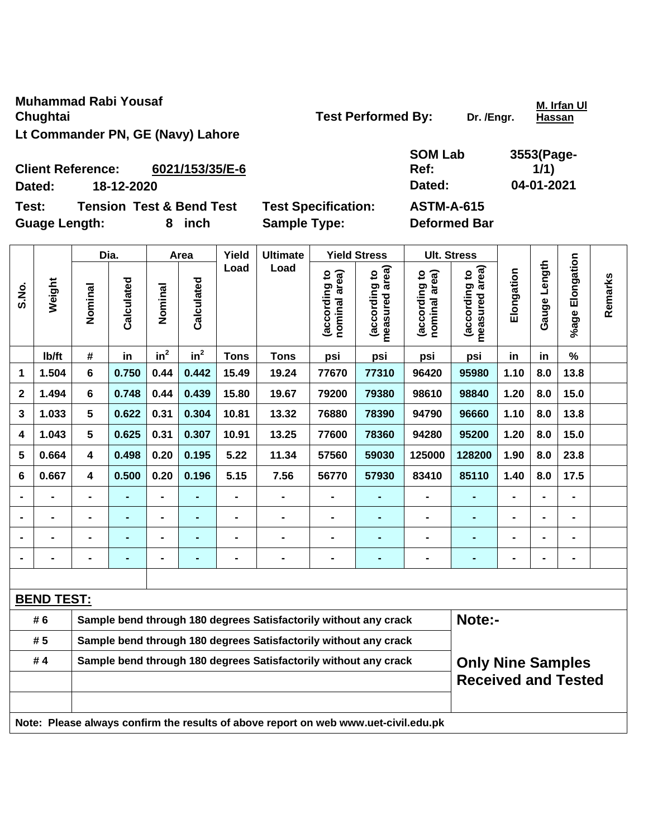**Muhammad Rabi Yousaf Chughtai Chughtai Chughtai Chughtai Chughtai Chughtai Chughtai Chughtai Chughtai Chughtai Chughtai Chughtai Chughtai Chughtai Chughtai Chughtai Chughtai Chughtai Chughtai Chughtai Chughtai Chughtai Chughtai Chughtai Chugh Lt Commander PN, GE (Navy) Lahore** 

**M. Irfan Ul Hassan**

| <b>SOM Lab</b> | 355 |
|----------------|-----|
| Ref:           |     |

**3553(Page-1/1)** 

**Client Reference: 6021/153/35/E-6 Dated: 18-12-2020 Dated: 04-01-2021 Test: Tension Test & Bend Test Test Specification: ASTM-A-615 Guage Length: 8 inch Sample Type: Deformed Bar** 

|                                                                                     |                   |                                                                  | Dia.<br>Area   |                |                 | Yield          | <b>Ultimate</b>                                                  |                               | <b>Yield Stress</b>             |                                | <b>Ult. Stress</b>              |                |                   |                 |         |
|-------------------------------------------------------------------------------------|-------------------|------------------------------------------------------------------|----------------|----------------|-----------------|----------------|------------------------------------------------------------------|-------------------------------|---------------------------------|--------------------------------|---------------------------------|----------------|-------------------|-----------------|---------|
| S.No.                                                                               | Weight            | Nominal                                                          | Calculated     | Nominal        | Calculated      | Load           | Load                                                             | nominal area)<br>according to | measured area)<br>(according to | nominal area)<br>(according to | measured area)<br>(according to | Elongation     | Length<br>Gauge I | %age Elongation | Remarks |
|                                                                                     | lb/ft             | #                                                                | in             | $in^2$         | in <sup>2</sup> | <b>Tons</b>    | <b>Tons</b>                                                      | psi                           | psi                             | psi                            | psi                             | in             | in                | $\%$            |         |
| 1                                                                                   | 1.504             | 6                                                                | 0.750          | 0.44           | 0.442           | 15.49          | 19.24                                                            | 77670                         | 77310                           | 96420                          | 95980                           | 1.10           | 8.0               | 13.8            |         |
| $\mathbf{2}$                                                                        | 1.494             | 6                                                                | 0.748          | 0.44           | 0.439           | 15.80          | 19.67                                                            | 79200                         | 79380                           | 98610                          | 98840                           | 1.20           | 8.0               | 15.0            |         |
| 3                                                                                   | 1.033             | 5                                                                | 0.622          | 0.31           | 0.304           | 10.81          | 13.32                                                            | 76880                         | 78390                           | 94790                          | 96660                           | 1.10           | 8.0               | 13.8            |         |
| 4                                                                                   | 1.043             | 5                                                                | 0.625          | 0.31           | 0.307           | 10.91          | 13.25                                                            | 77600                         | 78360                           | 94280                          | 95200                           | 1.20           | 8.0               | 15.0            |         |
| 5                                                                                   | 0.664             | 4                                                                | 0.498          | 0.20           | 0.195           | 5.22           | 11.34                                                            | 57560                         | 59030                           | 125000                         | 128200                          | 1.90           | 8.0               | 23.8            |         |
| 6                                                                                   | 0.667             | 4                                                                | 0.500          | 0.20           | 0.196           | 5.15           | 7.56                                                             | 56770                         | 57930                           | 83410                          | 85110                           | 1.40           | 8.0               | 17.5            |         |
|                                                                                     |                   |                                                                  |                |                |                 |                |                                                                  |                               |                                 |                                |                                 |                |                   | $\blacksquare$  |         |
|                                                                                     | $\blacksquare$    | $\blacksquare$                                                   | $\blacksquare$ | $\blacksquare$ | -               | -              | $\blacksquare$                                                   | -                             | ÷,                              | ۰                              | $\blacksquare$                  | -              | $\blacksquare$    | $\blacksquare$  |         |
|                                                                                     |                   | -                                                                | ٠              | $\blacksquare$ | -               | $\blacksquare$ | -                                                                | -                             | ٠                               | ۰                              | ٠                               | $\blacksquare$ | $\blacksquare$    | $\blacksquare$  |         |
|                                                                                     | $\blacksquare$    | $\blacksquare$                                                   | ٠              | $\blacksquare$ | -               | $\blacksquare$ | $\blacksquare$                                                   | $\blacksquare$                | ۰                               | ۰                              | ٠                               | $\blacksquare$ |                   | $\blacksquare$  |         |
|                                                                                     |                   |                                                                  |                |                |                 |                |                                                                  |                               |                                 |                                |                                 |                |                   |                 |         |
|                                                                                     | <b>BEND TEST:</b> |                                                                  |                |                |                 |                |                                                                  |                               |                                 |                                |                                 |                |                   |                 |         |
|                                                                                     | # 6               |                                                                  |                |                |                 |                | Sample bend through 180 degrees Satisfactorily without any crack |                               |                                 |                                | Note:-                          |                |                   |                 |         |
|                                                                                     | # 5               | Sample bend through 180 degrees Satisfactorily without any crack |                |                |                 |                |                                                                  |                               |                                 |                                |                                 |                |                   |                 |         |
| Sample bend through 180 degrees Satisfactorily without any crack<br>#4              |                   |                                                                  |                |                |                 |                |                                                                  |                               |                                 | <b>Only Nine Samples</b>       |                                 |                |                   |                 |         |
|                                                                                     |                   |                                                                  |                |                |                 |                |                                                                  |                               |                                 |                                | <b>Received and Tested</b>      |                |                   |                 |         |
|                                                                                     |                   |                                                                  |                |                |                 |                |                                                                  |                               |                                 |                                |                                 |                |                   |                 |         |
| Note: Please always confirm the results of above report on web www.uet-civil.edu.pk |                   |                                                                  |                |                |                 |                |                                                                  |                               |                                 |                                |                                 |                |                   |                 |         |